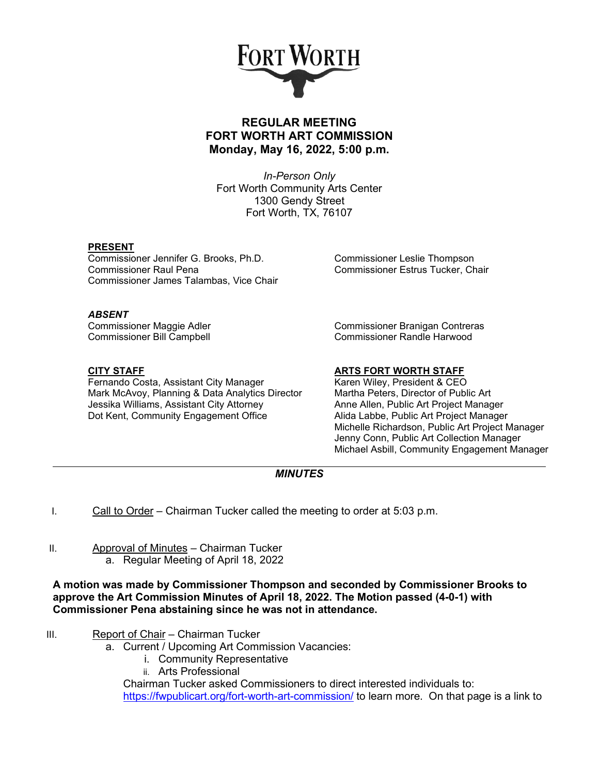

## **REGULAR MEETING FORT WORTH ART COMMISSION Monday, May 16, 2022, 5:00 p.m.**

*In-Person Only* Fort Worth Community Arts Center 1300 Gendy Street Fort Worth, TX, 76107

### **PRESENT**

Commissioner Jennifer G. Brooks, Ph.D. Commissioner Leslie Thompson Commissioner Raul Pena Commissioner Estrus Tucker, Chair Commissioner James Talambas, Vice Chair

**ABSENT**<br>Commissioner Maggie Adler

**CITY STAFF ARTS FORT WORTH STAFF** Fernando Costa, Assistant City Manager Karen Wiley, President & CEO<br>Mark McAvoy, Planning & Data Analytics Director Martha Peters, Director of Public Art Mark McAvoy, Planning & Data Analytics Director Martha Peters, Director of Public Art<br>Jessika Williams, Assistant City Attorney Anne Allen, Public Art Project Manager Jessika Williams, Assistant City Attorney **Anne Allen, Public Art Project Manager**<br>Dot Kent. Community Engagement Office **Allia Labbe. Public Art Project Manager** Dot Kent, Community Engagement Office

Commissioner Branigan Contreras Commissioner Bill Campbell Commissioner Randle Harwood

Michelle Richardson, Public Art Project Manager Jenny Conn, Public Art Collection Manager Michael Asbill, Community Engagement Manager

## *MINUTES*

- I. Call to Order Chairman Tucker called the meeting to order at  $5:03$  p.m.
- II. Approval of Minutes Chairman Tucker a. Regular Meeting of April 18, 2022

**A motion was made by Commissioner Thompson and seconded by Commissioner Brooks to approve the Art Commission Minutes of April 18, 2022. The Motion passed (4-0-1) with Commissioner Pena abstaining since he was not in attendance.**

- III. Report of Chair Chairman Tucker
	- a. Current / Upcoming Art Commission Vacancies:
		- i. Community Representative
		- ii. Arts Professional

Chairman Tucker asked Commissioners to direct interested individuals to: <https://fwpublicart.org/fort-worth-art-commission/> to learn more. On that page is a link to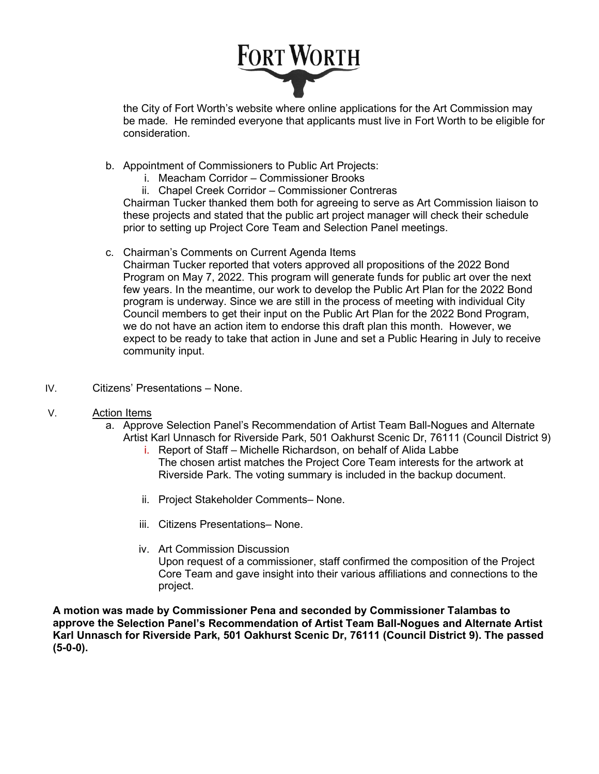# FORT WORTH

the City of Fort Worth's website where online applications for the Art Commission may be made. He reminded everyone that applicants must live in Fort Worth to be eligible for consideration.

- b. Appointment of Commissioners to Public Art Projects:
	- i. Meacham Corridor Commissioner Brooks
	- ii. Chapel Creek Corridor Commissioner Contreras

Chairman Tucker thanked them both for agreeing to serve as Art Commission liaison to these projects and stated that the public art project manager will check their schedule prior to setting up Project Core Team and Selection Panel meetings.

c. Chairman's Comments on Current Agenda Items

Chairman Tucker reported that voters approved all propositions of the 2022 Bond Program on May 7, 2022. This program will generate funds for public art over the next few years. In the meantime, our work to develop the Public Art Plan for the 2022 Bond program is underway. Since we are still in the process of meeting with individual City Council members to get their input on the Public Art Plan for the 2022 Bond Program, we do not have an action item to endorse this draft plan this month. However, we expect to be ready to take that action in June and set a Public Hearing in July to receive community input.

- IV. Citizens' Presentations None.
- V. Action Items
	- a. Approve Selection Panel's Recommendation of Artist Team Ball-Nogues and Alternate Artist Karl Unnasch for Riverside Park, 501 Oakhurst Scenic Dr, 76111 (Council District 9)
		- i. Report of Staff Michelle Richardson, on behalf of Alida Labbe The chosen artist matches the Project Core Team interests for the artwork at Riverside Park. The voting summary is included in the backup document.
		- ii. Project Stakeholder Comments– None.
		- iii. Citizens Presentations– None.
		- iv. Art Commission Discussion Upon request of a commissioner, staff confirmed the composition of the Project Core Team and gave insight into their various affiliations and connections to the project.

**A motion was made by Commissioner Pena and seconded by Commissioner Talambas to approve the Selection Panel's Recommendation of Artist Team Ball-Nogues and Alternate Artist Karl Unnasch for Riverside Park, 501 Oakhurst Scenic Dr, 76111 (Council District 9). The passed (5-0-0).**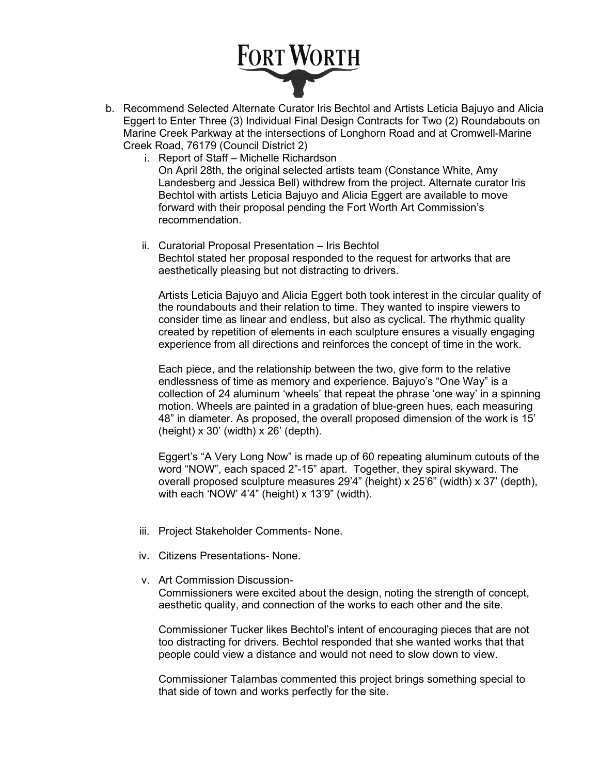# FORT WORTH

- b. Recommend Selected Alternate Curator Iris Bechtol and Artists Leticia Bajuyo and Alicia Eggert to Enter Three (3) Individual Final Design Contracts for Two (2) Roundabouts on Marine Creek Parkway at the intersections of Longhorn Road and at Cromwell-Marine Creek Road, 76179 (Council District 2)
	- i. Report of Staff Michelle Richardson On April 28th, the original selected artists team (Constance White, Amy Landesberg and Jessica Bell) withdrew from the project. Alternate curator Iris Bechtol with artists Leticia Bajuyo and Alicia Eggert are available to move forward with their proposal pending the Fort Worth Art Commission's recommendation.
	- ii. Curatorial Proposal Presentation Iris Bechtol Bechtol stated her proposal responded to the request for artworks that are aesthetically pleasing but not distracting to drivers.

Artists Leticia Bajuyo and Alicia Eggert both took interest in the circular quality of the roundabouts and their relation to time. They wanted to inspire viewers to consider time as linear and endless, but also as cyclical. The rhythmic quality created by repetition of elements in each sculpture ensures a visually engaging experience from all directions and reinforces the concept of time in the work.

Each piece, and the relationship between the two, give form to the relative endlessness of time as memory and experience. Bajuyo's "One Way" is a collection of 24 aluminum 'wheels' that repeat the phrase 'one way' in a spinning motion. Wheels are painted in a gradation of blue-green hues, each measuring 48" in diameter. As proposed, the overall proposed dimension of the work is 15'  $(height) \times 30'$  (width)  $\times 26'$  (depth).

Eggert's "A Very Long Now" is made up of 60 repeating aluminum cutouts of the word "NOW", each spaced 2"-15" apart. Together, they spiral skyward. The overall proposed sculpture measures 29'4" (height) x 25'6" (width) x 37' (depth), with each 'NOW' 4'4" (height) x 13'9" (width).

- iii. Project Stakeholder Comments- None.
- iv. Citizens Presentations- None.
- v. Art Commission Discussion-

Commissioners were excited about the design, noting the strength of concept, aesthetic quality, and connection of the works to each other and the site.

Commissioner Tucker likes Bechtol's intent of encouraging pieces that are not too distracting for drivers. Bechtol responded that she wanted works that that people could view a distance and would not need to slow down to view.

Commissioner Talambas commented this project brings something special to that side of town and works perfectly for the site.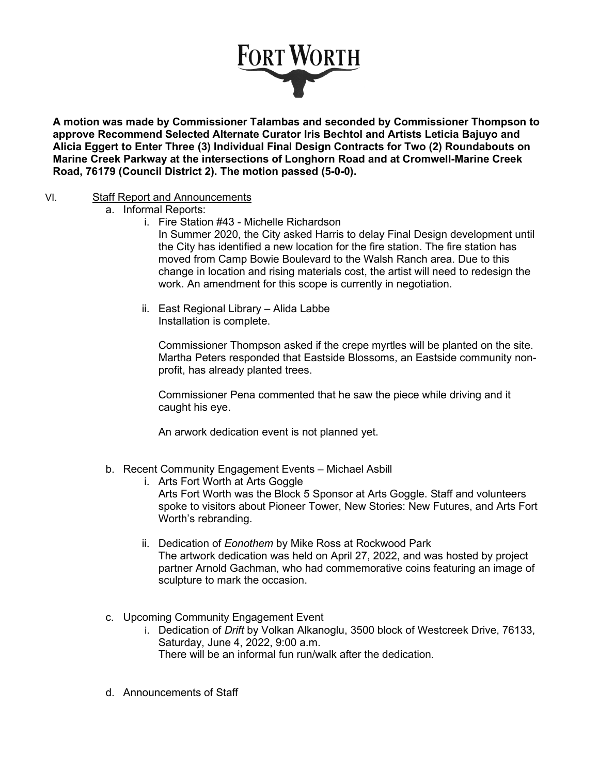

**A motion was made by Commissioner Talambas and seconded by Commissioner Thompson to approve Recommend Selected Alternate Curator Iris Bechtol and Artists Leticia Bajuyo and Alicia Eggert to Enter Three (3) Individual Final Design Contracts for Two (2) Roundabouts on Marine Creek Parkway at the intersections of Longhorn Road and at Cromwell-Marine Creek Road, 76179 (Council District 2). The motion passed (5-0-0).** 

### VI. Staff Report and Announcements

- a. Informal Reports:
	- i. Fire Station #43 Michelle Richardson

In Summer 2020, the City asked Harris to delay Final Design development until the City has identified a new location for the fire station. The fire station has moved from Camp Bowie Boulevard to the Walsh Ranch area. Due to this change in location and rising materials cost, the artist will need to redesign the work. An amendment for this scope is currently in negotiation.

ii. East Regional Library – Alida Labbe Installation is complete.

Commissioner Thompson asked if the crepe myrtles will be planted on the site. Martha Peters responded that Eastside Blossoms, an Eastside community nonprofit, has already planted trees.

Commissioner Pena commented that he saw the piece while driving and it caught his eye.

An arwork dedication event is not planned yet.

- b. Recent Community Engagement Events Michael Asbill
	- i. Arts Fort Worth at Arts Goggle

Arts Fort Worth was the Block 5 Sponsor at Arts Goggle. Staff and volunteers spoke to visitors about Pioneer Tower, New Stories: New Futures, and Arts Fort Worth's rebranding.

- ii. Dedication of *Eonothem* by Mike Ross at Rockwood Park The artwork dedication was held on April 27, 2022, and was hosted by project partner Arnold Gachman, who had commemorative coins featuring an image of sculpture to mark the occasion.
- c. Upcoming Community Engagement Event
	- i. Dedication of *Drift* by Volkan Alkanoglu, 3500 block of Westcreek Drive, 76133, Saturday, June 4, 2022, 9:00 a.m.

There will be an informal fun run/walk after the dedication.

d. Announcements of Staff